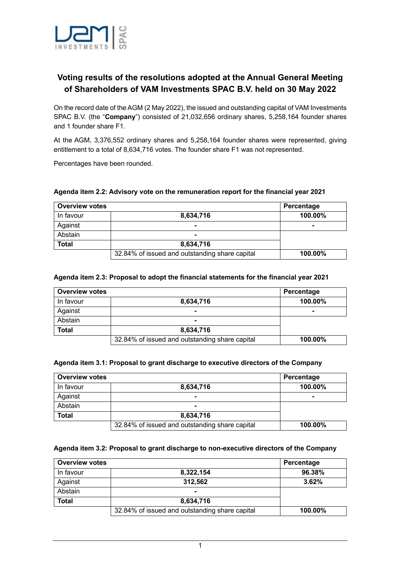

# **Voting results of the resolutions adopted at the Annual General Meeting of Shareholders of VAM Investments SPAC B.V. held on 30 May 2022**

On the record date of the AGM (2 May 2022), the issued and outstanding capital of VAM Investments SPAC B.V. (the "**Company**") consisted of 21,032,656 ordinary shares, 5,258,164 founder shares and 1 founder share F1.

At the AGM, 3,376,552 ordinary shares and 5,258,164 founder shares were represented, giving entitlement to a total of 8,634,716 votes. The founder share F1 was not represented.

Percentages have been rounded.

| <b>Overview votes</b> |                                                | Percentage |
|-----------------------|------------------------------------------------|------------|
| In favour             | 8,634,716                                      | 100.00%    |
| Against               |                                                |            |
| Abstain               |                                                |            |
| <b>Total</b>          | 8,634,716                                      |            |
|                       | 32.84% of issued and outstanding share capital | 100.00%    |

## **Agenda item 2.2: Advisory vote on the remuneration report for the financial year 2021**

#### **Agenda item 2.3: Proposal to adopt the financial statements for the financial year 2021**

| <b>Overview votes</b> |                                                | Percentage |  |
|-----------------------|------------------------------------------------|------------|--|
| In favour             | 8,634,716                                      | 100.00%    |  |
| Against               |                                                |            |  |
| Abstain               |                                                |            |  |
| <b>Total</b>          | 8,634,716                                      |            |  |
|                       | 32.84% of issued and outstanding share capital | 100.00%    |  |

#### **Agenda item 3.1: Proposal to grant discharge to executive directors of the Company**

| <b>Overview votes</b> |                                                | Percentage |
|-----------------------|------------------------------------------------|------------|
| In favour             | 8,634,716                                      | 100.00%    |
| Against               |                                                |            |
| Abstain               |                                                |            |
| <b>Total</b>          | 8,634,716                                      |            |
|                       | 32.84% of issued and outstanding share capital | 100.00%    |

## **Agenda item 3.2: Proposal to grant discharge to non-executive directors of the Company**

| <b>Overview votes</b> |                                                | Percentage |  |
|-----------------------|------------------------------------------------|------------|--|
| In favour             | 8,322,154                                      | 96.38%     |  |
| Against               | 312,562                                        | 3.62%      |  |
| Abstain               |                                                |            |  |
| <b>Total</b>          | 8.634.716                                      |            |  |
|                       | 32.84% of issued and outstanding share capital | 100.00%    |  |